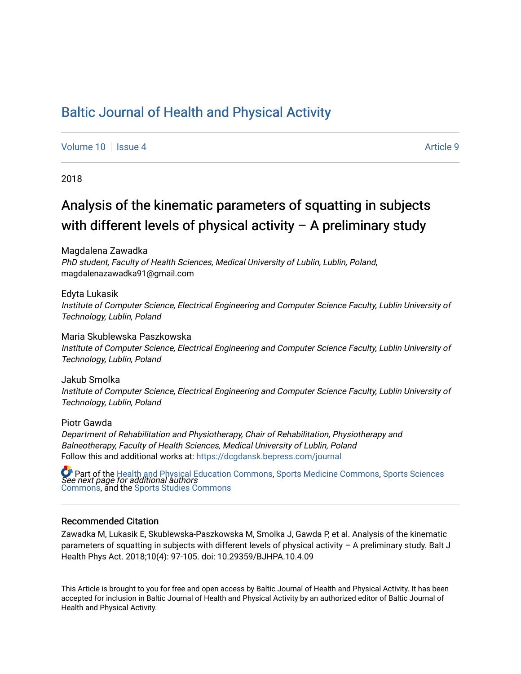## [Baltic Journal of Health and Physical Activity](https://dcgdansk.bepress.com/journal)

[Volume 10](https://dcgdansk.bepress.com/journal/vol10) | [Issue 4](https://dcgdansk.bepress.com/journal/vol10/iss4) Article 9

2018

## Analysis of the kinematic parameters of squatting in subjects with different levels of physical activity – A preliminary study

Magdalena Zawadka PhD student, Faculty of Health Sciences, Medical University of Lublin, Lublin, Poland, magdalenazawadka91@gmail.com

Edyta Lukasik Institute of Computer Science, Electrical Engineering and Computer Science Faculty, Lublin University of Technology, Lublin, Poland

Maria Skublewska Paszkowska Institute of Computer Science, Electrical Engineering and Computer Science Faculty, Lublin University of Technology, Lublin, Poland

Jakub Smolka Institute of Computer Science, Electrical Engineering and Computer Science Faculty, Lublin University of Technology, Lublin, Poland

Piotr Gawda Department of Rehabilitation and Physiotherapy, Chair of Rehabilitation, Physiotherapy and Balneotherapy, Faculty of Health Sciences, Medical University of Lublin, Poland Follow this and additional works at: [https://dcgdansk.bepress.com/journal](https://dcgdansk.bepress.com/journal?utm_source=dcgdansk.bepress.com%2Fjournal%2Fvol10%2Fiss4%2F9&utm_medium=PDF&utm_campaign=PDFCoverPages)

 $\bullet$  Part of the [Health and Physical Education Commons](http://network.bepress.com/hgg/discipline/1327?utm_source=dcgdansk.bepress.com%2Fjournal%2Fvol10%2Fiss4%2F9&utm_medium=PDF&utm_campaign=PDFCoverPages), [Sports Medicine Commons,](http://network.bepress.com/hgg/discipline/1331?utm_source=dcgdansk.bepress.com%2Fjournal%2Fvol10%2Fiss4%2F9&utm_medium=PDF&utm_campaign=PDFCoverPages) [Sports Sciences](http://network.bepress.com/hgg/discipline/759?utm_source=dcgdansk.bepress.com%2Fjournal%2Fvol10%2Fiss4%2F9&utm_medium=PDF&utm_campaign=PDFCoverPages)<br>*See next page for additional authors* [Commons](http://network.bepress.com/hgg/discipline/759?utm_source=dcgdansk.bepress.com%2Fjournal%2Fvol10%2Fiss4%2F9&utm_medium=PDF&utm_campaign=PDFCoverPages), and the [Sports Studies Commons](http://network.bepress.com/hgg/discipline/1198?utm_source=dcgdansk.bepress.com%2Fjournal%2Fvol10%2Fiss4%2F9&utm_medium=PDF&utm_campaign=PDFCoverPages) 

#### Recommended Citation

Zawadka M, Lukasik E, Skublewska-Paszkowska M, Smolka J, Gawda P, et al. Analysis of the kinematic parameters of squatting in subjects with different levels of physical activity – A preliminary study. Balt J Health Phys Act. 2018;10(4): 97-105. doi: 10.29359/BJHPA.10.4.09

This Article is brought to you for free and open access by Baltic Journal of Health and Physical Activity. It has been accepted for inclusion in Baltic Journal of Health and Physical Activity by an authorized editor of Baltic Journal of Health and Physical Activity.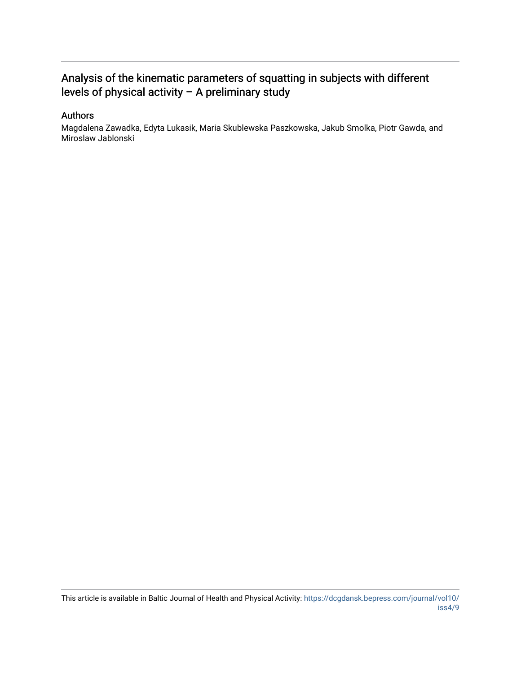## Analysis of the kinematic parameters of squatting in subjects with different levels of physical activity – A preliminary study

#### Authors

Magdalena Zawadka, Edyta Lukasik, Maria Skublewska Paszkowska, Jakub Smolka, Piotr Gawda, and Miroslaw Jablonski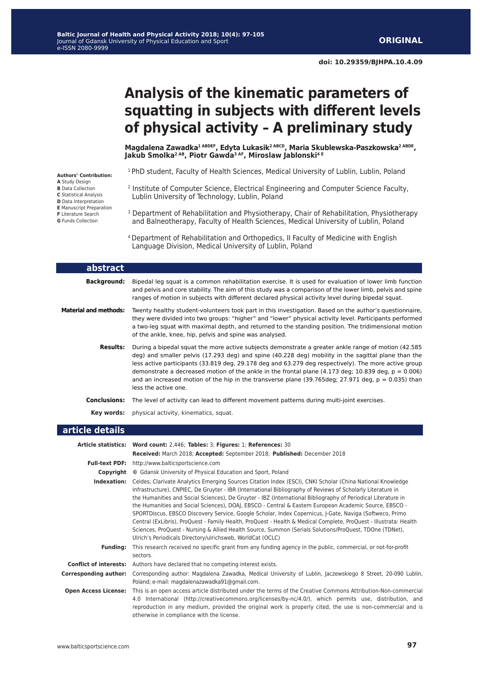# **Analysis of the kinematic parameters of squatting in subjects with different levels of physical activity – A preliminary study**

**Magdalena Zawadka1 ABDEF, Edyta Lukasik2 ABCD, Maria Skublewska-Paszkowska2 ABDE, Jakub Smolka2 AB, Piotr Gawda3 AF, Miroslaw Jablonski4 E**

<sup>1</sup> PhD student, Faculty of Health Sciences, Medical University of Lublin, Lublin, Poland

- 2 Institute of Computer Science, Electrical Engineering and Computer Science Faculty, Lublin University of Technology, Lublin, Poland
- <sup>3</sup> Department of Rehabilitation and Physiotherapy, Chair of Rehabilitation, Physiotherapy and Balneotherapy, Faculty of Health Sciences, Medical University of Lublin, Poland

4 Department of Rehabilitation and Orthopedics, II Faculty of Medicine with English Language Division, Medical University of Lublin, Poland

| abstract                     |                                                                                                                                                                                                                                                                                                                                                                                                                                                                                                                                                                               |
|------------------------------|-------------------------------------------------------------------------------------------------------------------------------------------------------------------------------------------------------------------------------------------------------------------------------------------------------------------------------------------------------------------------------------------------------------------------------------------------------------------------------------------------------------------------------------------------------------------------------|
| <b>Background:</b>           | Bipedal leg squat is a common rehabilitation exercise. It is used for evaluation of lower limb function<br>and pelvis and core stability. The aim of this study was a comparison of the lower limb, pelvis and spine<br>ranges of motion in subjects with different declared physical activity level during bipedal squat.                                                                                                                                                                                                                                                    |
| <b>Material and methods:</b> | Twenty healthy student-volunteers took part in this investigation. Based on the author's questionnaire,<br>they were divided into two groups: "higher" and "lower" physical activity level. Participants performed<br>a two-leg squat with maximal depth, and returned to the standing position. The tridimensional motion<br>of the ankle, knee, hip, pelvis and spine was analysed.                                                                                                                                                                                         |
| <b>Results:</b>              | During a bipedal squat the more active subjects demonstrate a greater ankle range of motion (42.585)<br>deg) and smaller pelvis (17.293 deg) and spine (40.228 deg) mobility in the sagittal plane than the<br>less active participants (33.819 deg, 29.178 deg and 63.279 deg respectively). The more active group<br>demonstrate a decreased motion of the ankle in the frontal plane $(4.173 \text{ deg}; 10.839 \text{ deg}, p = 0.006)$<br>and an increased motion of the hip in the transverse plane (39.765deg; 27.971 deg, $p = 0.035$ ) than<br>less the active one. |
| <b>Conclusions:</b>          | The level of activity can lead to different movement patterns during multi-joint exercises.                                                                                                                                                                                                                                                                                                                                                                                                                                                                                   |
| Kev words:                   | physical activity, kinematics, squat.                                                                                                                                                                                                                                                                                                                                                                                                                                                                                                                                         |

#### **article details**

|                               | Article statistics: Word count: 2,446; Tables: 3; Figures: 1; References: 30                                                                                                                                                                                                                                                                                                                                                                                                                                                                                                                                                                                                                                                                                                                                                                                  |  |  |  |  |  |
|-------------------------------|---------------------------------------------------------------------------------------------------------------------------------------------------------------------------------------------------------------------------------------------------------------------------------------------------------------------------------------------------------------------------------------------------------------------------------------------------------------------------------------------------------------------------------------------------------------------------------------------------------------------------------------------------------------------------------------------------------------------------------------------------------------------------------------------------------------------------------------------------------------|--|--|--|--|--|
|                               | Received: March 2018; Accepted: September 2018; Published: December 2018                                                                                                                                                                                                                                                                                                                                                                                                                                                                                                                                                                                                                                                                                                                                                                                      |  |  |  |  |  |
| <b>Full-text PDF:</b>         | http://www.balticsportscience.com                                                                                                                                                                                                                                                                                                                                                                                                                                                                                                                                                                                                                                                                                                                                                                                                                             |  |  |  |  |  |
| Copyright                     | © Gdansk University of Physical Education and Sport, Poland                                                                                                                                                                                                                                                                                                                                                                                                                                                                                                                                                                                                                                                                                                                                                                                                   |  |  |  |  |  |
| Indexation:                   | Celdes, Clarivate Analytics Emerging Sources Citation Index (ESCI), CNKI Scholar (China National Knowledge<br>Infrastructure), CNPIEC, De Gruyter - IBR (International Bibliography of Reviews of Scholarly Literature in<br>the Humanities and Social Sciences), De Gruyter - IBZ (International Bibliography of Periodical Literature in<br>the Humanities and Social Sciences), DOAJ, EBSCO - Central & Eastern European Academic Source, EBSCO -<br>SPORTDiscus, EBSCO Discovery Service, Google Scholar, Index Copernicus, J-Gate, Naviga (Softweco, Primo<br>Central (ExLibris), ProQuest - Family Health, ProQuest - Health & Medical Complete, ProQuest - Illustrata: Health<br>Sciences, ProQuest - Nursing & Allied Health Source, Summon (Serials Solutions/ProQuest, TDOne (TDNet),<br>Ulrich's Periodicals Directory/ulrichsweb, WorldCat (OCLC) |  |  |  |  |  |
| <b>Funding:</b>               | This research received no specific grant from any funding agency in the public, commercial, or not-for-profit<br>sectors.                                                                                                                                                                                                                                                                                                                                                                                                                                                                                                                                                                                                                                                                                                                                     |  |  |  |  |  |
| <b>Conflict of interests:</b> | Authors have declared that no competing interest exists.                                                                                                                                                                                                                                                                                                                                                                                                                                                                                                                                                                                                                                                                                                                                                                                                      |  |  |  |  |  |
| <b>Corresponding author:</b>  | Corresponding author: Magdalena Zawadka, Medical University of Lublin, Jaczewskiego 8 Street, 20-090 Lublin,<br>Poland; e-mail: magdalenazawadka91@gmail.com.                                                                                                                                                                                                                                                                                                                                                                                                                                                                                                                                                                                                                                                                                                 |  |  |  |  |  |
| <b>Open Access License:</b>   | This is an open access article distributed under the terms of the Creative Commons Attribution-Non-commercial<br>4.0 International (http://creativecommons.org/licenses/by-nc/4.0/), which permits use, distribution, and<br>reproduction in any medium, provided the original work is properly cited, the use is non-commercial and is<br>otherwise in compliance with the license.                                                                                                                                                                                                                                                                                                                                                                                                                                                                          |  |  |  |  |  |

**Authors' Contribution: A** Study Design **B** Data Collection **C** Statistical Analysis **D** Data Interpretation **E** Manuscript Preparation **F** Literature Search **G** Funds Collection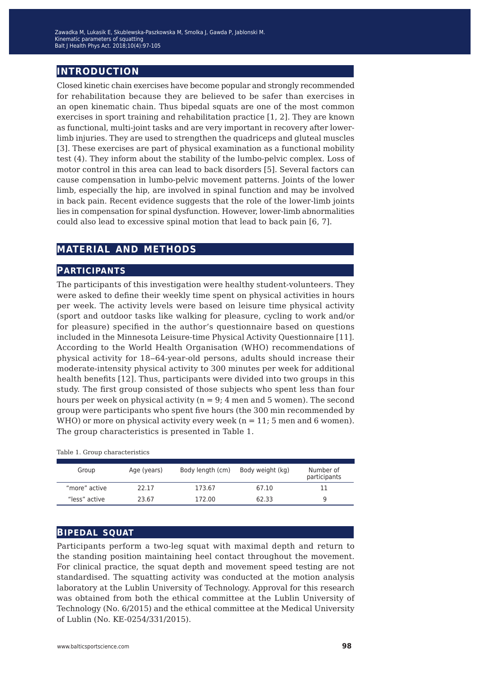### **introduction**

Closed kinetic chain exercises have become popular and strongly recommended for rehabilitation because they are believed to be safer than exercises in an open kinematic chain. Thus bipedal squats are one of the most common exercises in sport training and rehabilitation practice [1, 2]. They are known as functional, multi-joint tasks and are very important in recovery after lowerlimb injuries. They are used to strengthen the quadriceps and gluteal muscles [3]. These exercises are part of physical examination as a functional mobility test (4). They inform about the stability of the lumbo-pelvic complex. Loss of motor control in this area can lead to back disorders [5]. Several factors can cause compensation in lumbo-pelvic movement patterns. Joints of the lower limb, especially the hip, are involved in spinal function and may be involved in back pain. Recent evidence suggests that the role of the lower-limb joints lies in compensation for spinal dysfunction. However, lower-limb abnormalities could also lead to excessive spinal motion that lead to back pain [6, 7].

## **material and methods**

#### **participants**

The participants of this investigation were healthy student-volunteers. They were asked to define their weekly time spent on physical activities in hours per week. The activity levels were based on leisure time physical activity (sport and outdoor tasks like walking for pleasure, cycling to work and/or for pleasure) specified in the author's questionnaire based on questions included in the Minnesota Leisure-time Physical Activity Questionnaire [11]. According to the World Health Organisation (WHO) recommendations of physical activity for 18‒64-year-old persons, adults should increase their moderate-intensity physical activity to 300 minutes per week for additional health benefits [12]. Thus, participants were divided into two groups in this study. The first group consisted of those subjects who spent less than four hours per week on physical activity ( $n = 9$ ; 4 men and 5 women). The second group were participants who spent five hours (the 300 min recommended by WHO) or more on physical activity every week  $(n = 11; 5 \text{ men and } 6 \text{ women}).$ The group characteristics is presented in Table 1.

| Group         | Age (years) | Body length (cm) | Body weight (kg) | Number of<br>participants |
|---------------|-------------|------------------|------------------|---------------------------|
| "more" active | 22.17       | 173.67           | 67.10            |                           |
| "less" active | 23.67       | 172.00           | 62.33            |                           |

Table 1. Group characteristics

#### **bipedal squat**

Participants perform a two-leg squat with maximal depth and return to the standing position maintaining heel contact throughout the movement. For clinical practice, the squat depth and movement speed testing are not standardised. The squatting activity was conducted at the motion analysis laboratory at the Lublin University of Technology. Approval for this research was obtained from both the ethical committee at the Lublin University of Technology (No. 6/2015) and the ethical committee at the Medical University of Lublin (No. KE-0254/331/2015).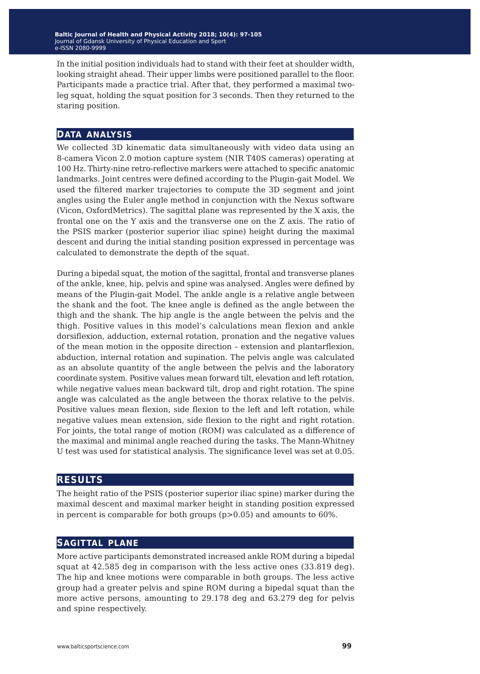In the initial position individuals had to stand with their feet at shoulder width, looking straight ahead. Their upper limbs were positioned parallel to the floor. Participants made a practice trial. After that, they performed a maximal twoleg squat, holding the squat position for 3 seconds. Then they returned to the staring position.

#### **data analysis**

We collected 3D kinematic data simultaneously with video data using an 8-camera Vicon 2.0 motion capture system (NIR T40S cameras) operating at 100 Hz. Thirty-nine retro-reflective markers were attached to specific anatomic landmarks. Joint centres were defined according to the Plugin-gait Model. We used the filtered marker trajectories to compute the 3D segment and joint angles using the Euler angle method in conjunction with the Nexus software (Vicon, OxfordMetrics). The sagittal plane was represented by the X axis, the frontal one on the Y axis and the transverse one on the Z axis. The ratio of the PSIS marker (posterior superior iliac spine) height during the maximal descent and during the initial standing position expressed in percentage was calculated to demonstrate the depth of the squat.

During a bipedal squat, the motion of the sagittal, frontal and transverse planes of the ankle, knee, hip, pelvis and spine was analysed. Angles were defined by means of the Plugin-gait Model. The ankle angle is a relative angle between the shank and the foot. The knee angle is defined as the angle between the thigh and the shank. The hip angle is the angle between the pelvis and the thigh. Positive values in this model's calculations mean flexion and ankle dorsiflexion, adduction, external rotation, pronation and the negative values of the mean motion in the opposite direction – extension and plantarflexion, abduction, internal rotation and supination. The pelvis angle was calculated as an absolute quantity of the angle between the pelvis and the laboratory coordinate system. Positive values mean forward tilt, elevation and left rotation, while negative values mean backward tilt, drop and right rotation. The spine angle was calculated as the angle between the thorax relative to the pelvis. Positive values mean flexion, side flexion to the left and left rotation, while negative values mean extension, side flexion to the right and right rotation. For joints, the total range of motion (ROM) was calculated as a difference of the maximal and minimal angle reached during the tasks. The Mann-Whitney U test was used for statistical analysis. The significance level was set at 0.05.

#### **results**

The height ratio of the PSIS (posterior superior iliac spine) marker during the maximal descent and maximal marker height in standing position expressed in percent is comparable for both groups (p>0.05) and amounts to 60%.

#### **sagittal plane**

More active participants demonstrated increased ankle ROM during a bipedal squat at 42.585 deg in comparison with the less active ones (33.819 deg). The hip and knee motions were comparable in both groups. The less active group had a greater pelvis and spine ROM during a bipedal squat than the more active persons, amounting to 29.178 deg and 63.279 deg for pelvis and spine respectively.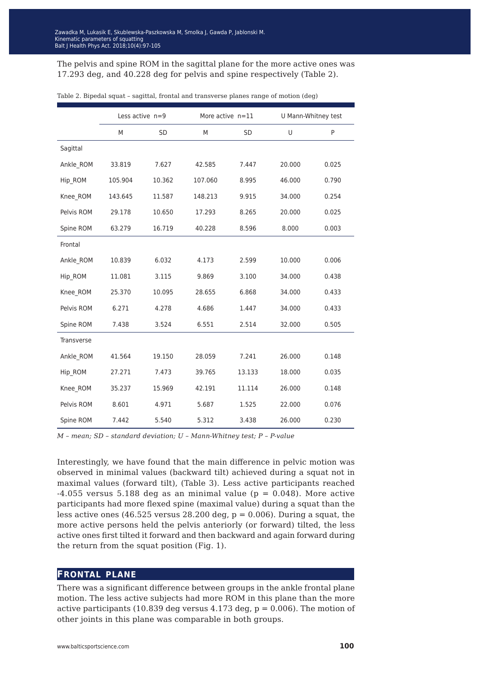The pelvis and spine ROM in the sagittal plane for the more active ones was 17.293 deg, and 40.228 deg for pelvis and spine respectively (Table 2).

|                   | Less active $n=9$ |           |         | More active $n=11$ |        | U Mann-Whitney test |  |
|-------------------|-------------------|-----------|---------|--------------------|--------|---------------------|--|
|                   | M                 | <b>SD</b> | M       | <b>SD</b>          | U      | P                   |  |
| Sagittal          |                   |           |         |                    |        |                     |  |
| Ankle_ROM         | 33.819            | 7.627     | 42.585  | 7.447              | 20.000 | 0.025               |  |
| Hip_ROM           | 105.904           | 10.362    | 107.060 | 8.995              | 46.000 | 0.790               |  |
| Knee_ROM          | 143.645           | 11.587    | 148.213 | 9.915              | 34.000 | 0.254               |  |
| Pelvis ROM        | 29.178            | 10.650    | 17.293  | 8.265              | 20.000 | 0.025               |  |
| Spine ROM         | 63.279            | 16.719    | 40.228  | 8.596              | 8.000  | 0.003               |  |
| Frontal           |                   |           |         |                    |        |                     |  |
| Ankle ROM         | 10.839            | 6.032     | 4.173   | 2.599              | 10.000 | 0.006               |  |
| Hip_ROM           | 11.081            | 3.115     | 9.869   | 3.100              | 34.000 | 0.438               |  |
| Knee ROM          | 25.370            | 10.095    | 28.655  | 6.868              | 34.000 | 0.433               |  |
| Pelvis ROM        | 6.271             | 4.278     | 4.686   | 1.447              | 34.000 | 0.433               |  |
| Spine ROM         | 7.438             | 3.524     | 6.551   | 2.514              | 32.000 | 0.505               |  |
| <b>Transverse</b> |                   |           |         |                    |        |                     |  |
| Ankle ROM         | 41.564            | 19.150    | 28.059  | 7.241              | 26.000 | 0.148               |  |
| Hip_ROM           | 27.271            | 7.473     | 39.765  | 13.133             | 18.000 | 0.035               |  |
| Knee_ROM          | 35.237            | 15.969    | 42.191  | 11.114             | 26.000 | 0.148               |  |
| Pelvis ROM        | 8.601             | 4.971     | 5.687   | 1.525              | 22.000 | 0.076               |  |
| Spine ROM         | 7.442             | 5.540     | 5.312   | 3.438              | 26.000 | 0.230               |  |

Table 2. Bipedal squat – sagittal, frontal and transverse planes range of motion (deg)

*M – mean; SD – standard deviation; U – Mann-Whitney test; P – P-value*

Interestingly, we have found that the main difference in pelvic motion was observed in minimal values (backward tilt) achieved during a squat not in maximal values (forward tilt), (Table 3). Less active participants reached  $-4.055$  versus 5.188 deg as an minimal value ( $p = 0.048$ ). More active participants had more flexed spine (maximal value) during a squat than the less active ones (46.525 versus 28.200 deg,  $p = 0.006$ ). During a squat, the more active persons held the pelvis anteriorly (or forward) tilted, the less active ones first tilted it forward and then backward and again forward during the return from the squat position (Fig. 1).

#### **frontal plane**

There was a significant difference between groups in the ankle frontal plane motion. The less active subjects had more ROM in this plane than the more active participants (10.839 deg versus 4.173 deg,  $p = 0.006$ ). The motion of other joints in this plane was comparable in both groups.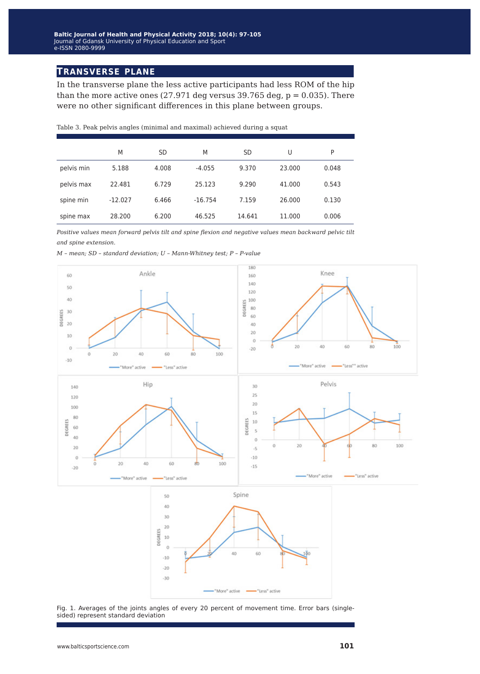### **transverse plane**

In the transverse plane the less active participants had less ROM of the hip than the more active ones (27.971 deg versus 39.765 deg,  $p = 0.035$ ). There were no other significant differences in this plane between groups.

|            | M         | <b>SD</b> | M         | <b>SD</b> | U      | P     |
|------------|-----------|-----------|-----------|-----------|--------|-------|
| pelvis min | 5.188     | 4.008     | $-4.055$  | 9.370     | 23,000 | 0.048 |
| pelvis max | 22.481    | 6.729     | 25.123    | 9.290     | 41.000 | 0.543 |
| spine min  | $-12.027$ | 6.466     | $-16.754$ | 7.159     | 26,000 | 0.130 |
| spine max  | 28,200    | 6.200     | 46.525    | 14.641    | 11.000 | 0.006 |

Table 3. Peak pelvis angles (minimal and maximal) achieved during a squat

*Positive values mean forward pelvis tilt and spine flexion and negative values mean backward pelvic tilt and spine extension.*

*M – mean; SD – standard deviation; U – Mann-Whitney test; P – P-value*



Fig. 1. Averages of the joints angles of every 20 percent of movement time. Error bars (singlesided) represent standard deviation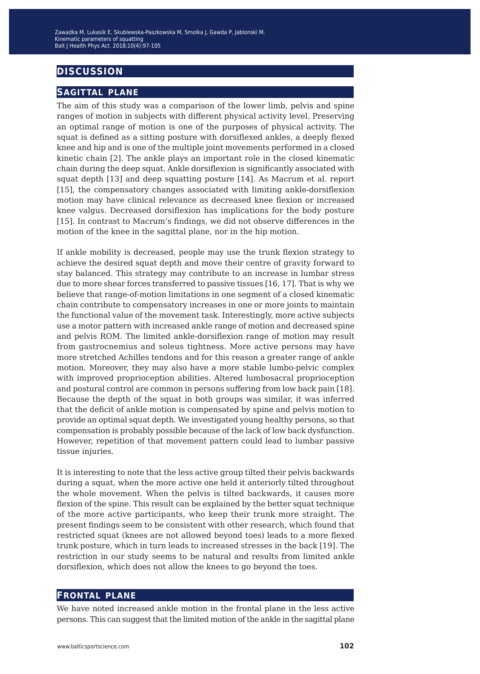## **discussion**

#### **sagittal plane**

The aim of this study was a comparison of the lower limb, pelvis and spine ranges of motion in subjects with different physical activity level. Preserving an optimal range of motion is one of the purposes of physical activity. The squat is defined as a sitting posture with dorsiflexed ankles, a deeply flexed knee and hip and is one of the multiple joint movements performed in a closed kinetic chain [2]. The ankle plays an important role in the closed kinematic chain during the deep squat. Ankle dorsiflexion is significantly associated with squat depth [13] and deep squatting posture [14]. As Macrum et al. report [15], the compensatory changes associated with limiting ankle-dorsiflexion motion may have clinical relevance as decreased knee flexion or increased knee valgus. Decreased dorsiflexion has implications for the body posture [15]. In contrast to Macrum's findings, we did not observe differences in the motion of the knee in the sagittal plane, nor in the hip motion.

If ankle mobility is decreased, people may use the trunk flexion strategy to achieve the desired squat depth and move their centre of gravity forward to stay balanced. This strategy may contribute to an increase in lumbar stress due to more shear forces transferred to passive tissues [16, 17]. That is why we believe that range-of-motion limitations in one segment of a closed kinematic chain contribute to compensatory increases in one or more joints to maintain the functional value of the movement task. Interestingly, more active subjects use a motor pattern with increased ankle range of motion and decreased spine and pelvis ROM. The limited ankle-dorsiflexion range of motion may result from gastrocnemius and soleus tightness. More active persons may have more stretched Achilles tendons and for this reason a greater range of ankle motion. Moreover, they may also have a more stable lumbo-pelvic complex with improved proprioception abilities. Altered lumbosacral proprioception and postural control are common in persons suffering from low back pain [18]. Because the depth of the squat in both groups was similar, it was inferred that the deficit of ankle motion is compensated by spine and pelvis motion to provide an optimal squat depth. We investigated young healthy persons, so that compensation is probably possible because of the lack of low back dysfunction. However, repetition of that movement pattern could lead to lumbar passive tissue injuries.

It is interesting to note that the less active group tilted their pelvis backwards during a squat, when the more active one held it anteriorly tilted throughout the whole movement. When the pelvis is tilted backwards, it causes more flexion of the spine. This result can be explained by the better squat technique of the more active participants, who keep their trunk more straight. The present findings seem to be consistent with other research, which found that restricted squat (knees are not allowed beyond toes) leads to a more flexed trunk posture, which in turn leads to increased stresses in the back [19]. The restriction in our study seems to be natural and results from limited ankle dorsiflexion, which does not allow the knees to go beyond the toes.

#### **frontal plane**

We have noted increased ankle motion in the frontal plane in the less active persons. This can suggest that the limited motion of the ankle in the sagittal plane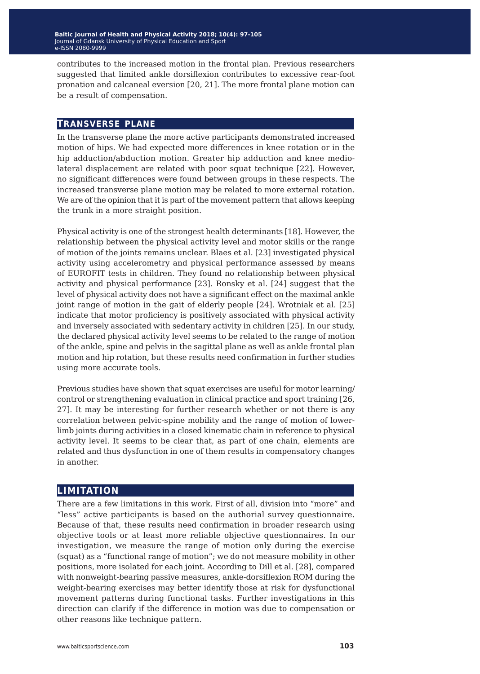contributes to the increased motion in the frontal plan. Previous researchers suggested that limited ankle dorsiflexion contributes to excessive rear-foot pronation and calcaneal eversion [20, 21]. The more frontal plane motion can be a result of compensation.

#### **transverse plane**

In the transverse plane the more active participants demonstrated increased motion of hips. We had expected more differences in knee rotation or in the hip adduction/abduction motion. Greater hip adduction and knee mediolateral displacement are related with poor squat technique [22]. However, no significant differences were found between groups in these respects. The increased transverse plane motion may be related to more external rotation. We are of the opinion that it is part of the movement pattern that allows keeping the trunk in a more straight position.

Physical activity is one of the strongest health determinants [18]. However, the relationship between the physical activity level and motor skills or the range of motion of the joints remains unclear. Blaes et al. [23] investigated physical activity using accelerometry and physical performance assessed by means of EUROFIT tests in children. They found no relationship between physical activity and physical performance [23]. Ronsky et al. [24] suggest that the level of physical activity does not have a significant effect on the maximal ankle joint range of motion in the gait of elderly people [24]. Wrotniak et al. [25] indicate that motor proficiency is positively associated with physical activity and inversely associated with sedentary activity in children [25]. In our study, the declared physical activity level seems to be related to the range of motion of the ankle, spine and pelvis in the sagittal plane as well as ankle frontal plan motion and hip rotation, but these results need confirmation in further studies using more accurate tools.

Previous studies have shown that squat exercises are useful for motor learning/ control or strengthening evaluation in clinical practice and sport training [26, 27]. It may be interesting for further research whether or not there is any correlation between pelvic-spine mobility and the range of motion of lowerlimb joints during activities in a closed kinematic chain in reference to physical activity level. It seems to be clear that, as part of one chain, elements are related and thus dysfunction in one of them results in compensatory changes in another.

#### **limitation**

There are a few limitations in this work. First of all, division into "more" and "less" active participants is based on the authorial survey questionnaire. Because of that, these results need confirmation in broader research using objective tools or at least more reliable objective questionnaires. In our investigation, we measure the range of motion only during the exercise (squat) as a "functional range of motion"; we do not measure mobility in other positions, more isolated for each joint. According to Dill et al. [28], compared with nonweight-bearing passive measures, ankle-dorsiflexion ROM during the weight-bearing exercises may better identify those at risk for dysfunctional movement patterns during functional tasks. Further investigations in this direction can clarify if the difference in motion was due to compensation or other reasons like technique pattern.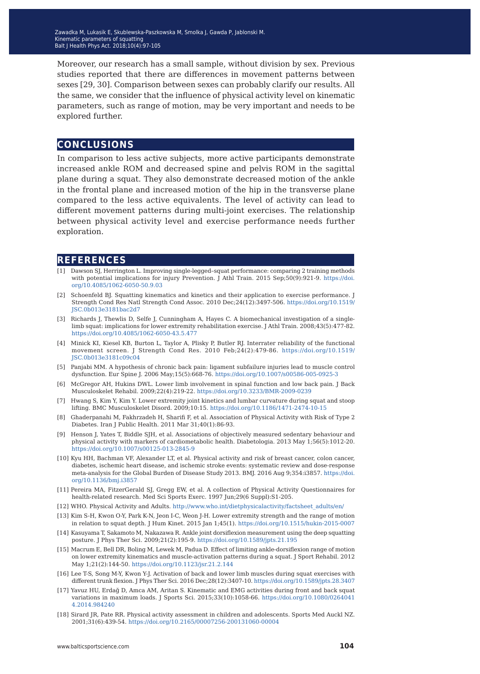Moreover, our research has a small sample, without division by sex. Previous studies reported that there are differences in movement patterns between sexes [29, 30]. Comparison between sexes can probably clarify our results. All the same, we consider that the influence of physical activity level on kinematic parameters, such as range of motion, may be very important and needs to be explored further.

### **conclusions**

In comparison to less active subjects, more active participants demonstrate increased ankle ROM and decreased spine and pelvis ROM in the sagittal plane during a squat. They also demonstrate decreased motion of the ankle in the frontal plane and increased motion of the hip in the transverse plane compared to the less active equivalents. The level of activity can lead to different movement patterns during multi-joint exercises. The relationship between physical activity level and exercise performance needs further exploration.

#### **references**

- [1] Dawson SJ, Herrington L. Improving single-legged–squat performance: comparing 2 training methods with potential implications for injury Prevention. J Athl Train. 2015 Sep;50(9):921-9. [https://doi.](https://doi.org/10.4085/1062-6050-50.9.03) [org/10.4085/1062-6050-50.9.03](https://doi.org/10.4085/1062-6050-50.9.03)
- [2] Schoenfeld BI. Squatting kinematics and kinetics and their application to exercise performance. J Strength Cond Res Natl Strength Cond Assoc. 2010 Dec;24(12):3497-506. [https://doi.org/10.1519/](https://doi.org/10.1519/JSC.0b013e3181bac2d7) [JSC.0b013e3181bac2d7](https://doi.org/10.1519/JSC.0b013e3181bac2d7)
- [3] Richards J, Thewlis D, Selfe J, Cunningham A, Hayes C. A biomechanical investigation of a singlelimb squat: implications for lower extremity rehabilitation exercise. J Athl Train. 2008;43(5):477-82. <https://doi.org/10.4085/1062-6050-43.5.477>
- [4] Minick KI, Kiesel KB, Burton L, Taylor A, Plisky P, Butler RJ. Interrater reliability of the functional movement screen. J Strength Cond Res. 2010 Feb;24(2):479-86. [https://doi.org/10.1519/](https://doi.org/10.1519/JSC.0b013e3181c09c04) [JSC.0b013e3181c09c04](https://doi.org/10.1519/JSC.0b013e3181c09c04)
- [5] Panjabi MM. A hypothesis of chronic back pain: ligament subfailure injuries lead to muscle control dysfunction. Eur Spine J. 2006 May;15(5):668-76. <https://doi.org/10.1007/s00586-005-0925-3>
- [6] McGregor AH, Hukins DWL. Lower limb involvement in spinal function and low back pain. J Back Musculoskelet Rehabil. 2009;22(4):219-22.<https://doi.org/10.3233/BMR-2009-0239>
- [7] Hwang S, Kim Y, Kim Y. Lower extremity joint kinetics and lumbar curvature during squat and stoop lifting. BMC Musculoskelet Disord. 2009;10:15. <https://doi.org/10.1186/1471-2474-10-15>
- [8] Ghaderpanahi M, Fakhrzadeh H, Sharifi F, et al. Association of Physical Activity with Risk of Type 2 Diabetes. Iran J Public Health. 2011 Mar 31;40(1):86-93.
- [9] Henson J, Yates T, Biddle SJH, et al. Associations of objectively measured sedentary behaviour and physical activity with markers of cardiometabolic health. Diabetologia. 2013 May 1;56(5):1012-20. <https://doi.org/10.1007/s00125-013-2845-9>
- [10] Kyu HH, Bachman VF, Alexander LT, et al. Physical activity and risk of breast cancer, colon cancer, diabetes, ischemic heart disease, and ischemic stroke events: systematic review and dose-response meta-analysis for the Global Burden of Disease Study 2013. BMJ. 2016 Aug 9;354:i3857. [https://doi.](https://doi.org/10.1136/bmj.i3857) [org/10.1136/bmj.i3857](https://doi.org/10.1136/bmj.i3857)
- [11] Pereira MA, FitzerGerald SJ, Gregg EW, et al. A collection of Physical Activity Questionnaires for health-related research. Med Sci Sports Exerc. 1997 Jun;29(6 Suppl):S1-205.
- [12] WHO. Physical Activity and Adults. [http://www.who.int/dietphysicalactivity/factsheet\\_adults/en/](https://doi.org/10.1515/hukin-2015-0007)
- [13] Kim S-H, Kwon O-Y, Park K-N, Jeon I-C, Weon J-H. Lower extremity strength and the range of motion in relation to squat depth. J Hum Kinet. 2015 Jan 1;45(1).<https://doi.org/10.1515/hukin-2015-0007>
- [14] Kasuyama T, Sakamoto M, Nakazawa R. Ankle joint dorsiflexion measurement using the deep squatting posture. J Phys Ther Sci. 2009;21(2):195-9. <https://doi.org/10.1589/jpts.21.195>
- [15] Macrum E, Bell DR, Boling M, Lewek M, Padua D. Effect of limiting ankle-dorsiflexion range of motion on lower extremity kinematics and muscle-activation patterns during a squat. J Sport Rehabil. 2012 May 1;21(2):144-50.<https://doi.org/10.1123/jsr.21.2.144>
- [16] Lee T-S, Song M-Y, Kwon Y-J. Activation of back and lower limb muscles during squat exercises with different trunk flexion. J Phys Ther Sci. 2016 Dec;28(12):3407-10. <https://doi.org/10.1589/jpts.28.3407>
- [17] Yavuz HU, Erdağ D, Amca AM, Aritan S. Kinematic and EMG activities during front and back squat variations in maximum loads. J Sports Sci. 2015;33(10):1058-66. [https://doi.org/10.1080/0264041](https://doi.org/10.1080/02640414.2014.984240) [4.2014.984240](https://doi.org/10.1080/02640414.2014.984240)
- [18] Sirard JR, Pate RR. Physical activity assessment in children and adolescents. Sports Med Auckl NZ. 2001;31(6):439-54.<https://doi.org/10.2165/00007256-200131060-00004>